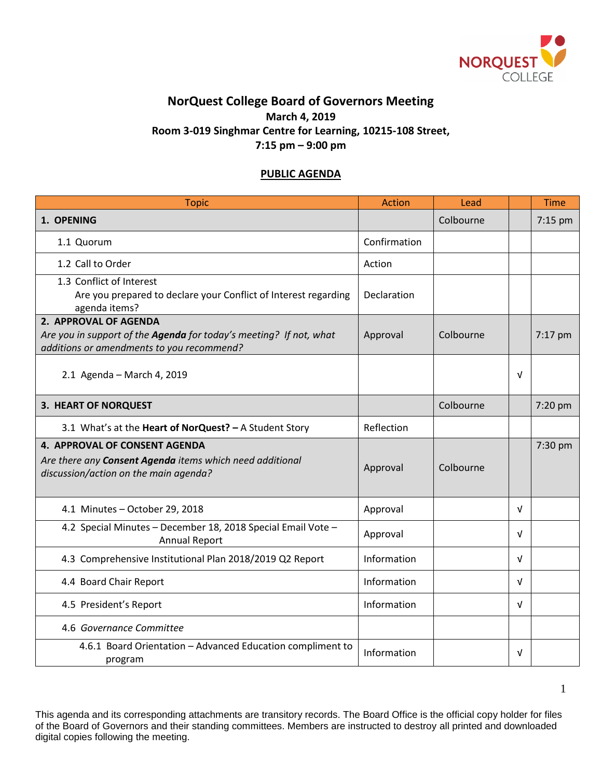

## **NorQuest College Board of Governors Meeting March 4, 2019 Room 3-019 Singhmar Centre for Learning, 10215-108 Street, 7:15 pm – 9:00 pm**

## **PUBLIC AGENDA**

| <b>Topic</b>                                                                                                                             | Action       | Lead      |            | <b>Time</b> |
|------------------------------------------------------------------------------------------------------------------------------------------|--------------|-----------|------------|-------------|
| 1. OPENING                                                                                                                               |              | Colbourne |            | $7:15$ pm   |
| 1.1 Quorum                                                                                                                               | Confirmation |           |            |             |
| 1.2 Call to Order                                                                                                                        | Action       |           |            |             |
| 1.3 Conflict of Interest<br>Are you prepared to declare your Conflict of Interest regarding<br>agenda items?                             | Declaration  |           |            |             |
| 2. APPROVAL OF AGENDA<br>Are you in support of the Agenda for today's meeting? If not, what<br>additions or amendments to you recommend? | Approval     | Colbourne |            | 7:17 pm     |
| 2.1 Agenda - March 4, 2019                                                                                                               |              |           | $\sqrt{ }$ |             |
| 3. HEART OF NORQUEST                                                                                                                     |              | Colbourne |            | 7:20 pm     |
| 3.1 What's at the Heart of NorQuest? - A Student Story                                                                                   | Reflection   |           |            |             |
| 4. APPROVAL OF CONSENT AGENDA<br>Are there any Consent Agenda items which need additional<br>discussion/action on the main agenda?       | Approval     | Colbourne |            | 7:30 pm     |
| 4.1 Minutes - October 29, 2018                                                                                                           | Approval     |           | $\sqrt{ }$ |             |
| 4.2 Special Minutes - December 18, 2018 Special Email Vote -<br><b>Annual Report</b>                                                     | Approval     |           | $\sqrt{ }$ |             |
| 4.3 Comprehensive Institutional Plan 2018/2019 Q2 Report                                                                                 | Information  |           | $\sqrt{ }$ |             |
| 4.4 Board Chair Report                                                                                                                   | Information  |           | $\sqrt{ }$ |             |
| 4.5 President's Report                                                                                                                   | Information  |           | $\sqrt{ }$ |             |
| 4.6 Governance Committee                                                                                                                 |              |           |            |             |
| 4.6.1 Board Orientation - Advanced Education compliment to<br>program                                                                    | Information  |           | $\sqrt{ }$ |             |

This agenda and its corresponding attachments are transitory records. The Board Office is the official copy holder for files of the Board of Governors and their standing committees. Members are instructed to destroy all printed and downloaded digital copies following the meeting.